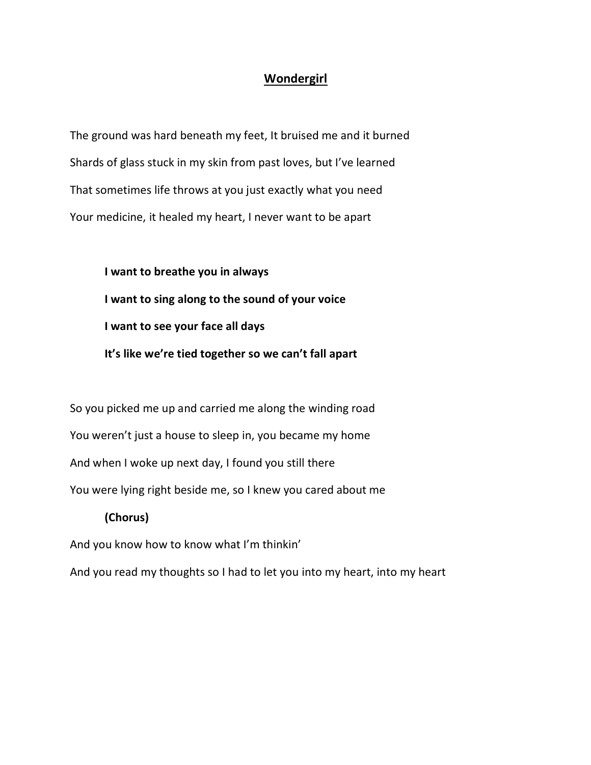## **Wondergirl**

The ground was hard beneath my feet, It bruised me and it burned Shards of glass stuck in my skin from past loves, but I've learned That sometimes life throws at you just exactly what you need Your medicine, it healed my heart, I never want to be apart

**I want to breathe you in always I want to sing along to the sound of your voice I want to see your face all days It's like we're tied together so we can't fall apart**

So you picked me up and carried me along the winding road You weren't just a house to sleep in, you became my home And when I woke up next day, I found you still there You were lying right beside me, so I knew you cared about me

## **(Chorus)**

And you know how to know what I'm thinkin' And you read my thoughts so I had to let you into my heart, into my heart